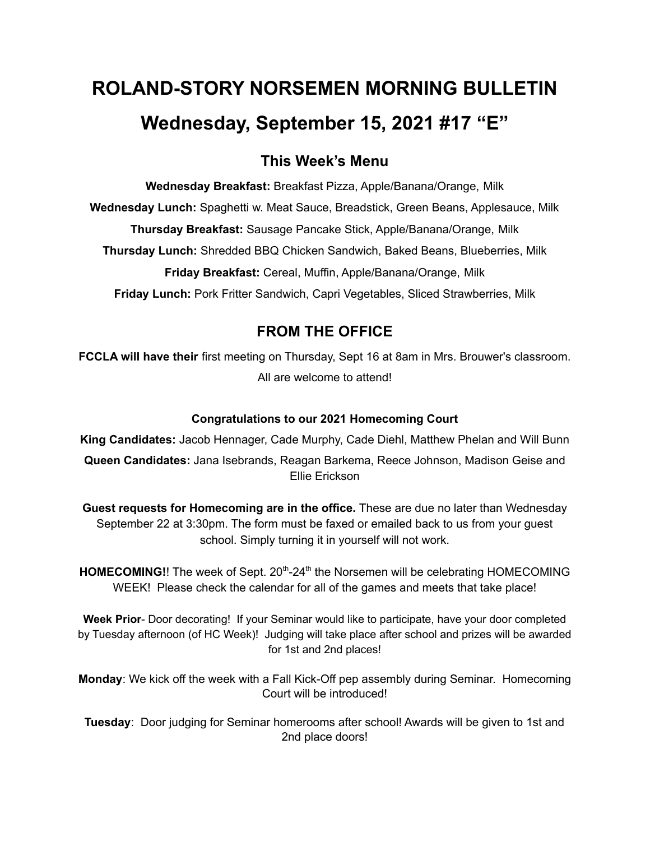# **ROLAND-STORY NORSEMEN MORNING BULLETIN Wednesday, September 15, 2021 #17 "E"**

# **This Week's Menu**

**Wednesday Breakfast:** Breakfast Pizza, Apple/Banana/Orange, Milk **Wednesday Lunch:** Spaghetti w. Meat Sauce, Breadstick, Green Beans, Applesauce, Milk **Thursday Breakfast:** Sausage Pancake Stick, Apple/Banana/Orange, Milk **Thursday Lunch:** Shredded BBQ Chicken Sandwich, Baked Beans, Blueberries, Milk **Friday Breakfast:** Cereal, Muffin, Apple/Banana/Orange, Milk **Friday Lunch:** Pork Fritter Sandwich, Capri Vegetables, Sliced Strawberries, Milk

# **FROM THE OFFICE**

**FCCLA will have their** first meeting on Thursday, Sept 16 at 8am in Mrs. Brouwer's classroom. All are welcome to attend!

# **Congratulations to our 2021 Homecoming Court**

**King Candidates:** Jacob Hennager, Cade Murphy, Cade Diehl, Matthew Phelan and Will Bunn **Queen Candidates:** Jana Isebrands, Reagan Barkema, Reece Johnson, Madison Geise and Ellie Erickson

**Guest requests for Homecoming are in the office.** These are due no later than Wednesday September 22 at 3:30pm. The form must be faxed or emailed back to us from your guest school. Simply turning it in yourself will not work.

HOMECOMING!! The week of Sept. 20<sup>th</sup>-24<sup>th</sup> the Norsemen will be celebrating HOMECOMING WEEK! Please check the calendar for all of the games and meets that take place!

**Week Prior**- Door decorating! If your Seminar would like to participate, have your door completed by Tuesday afternoon (of HC Week)! Judging will take place after school and prizes will be awarded for 1st and 2nd places!

**Monday**: We kick off the week with a Fall Kick-Off pep assembly during Seminar. Homecoming Court will be introduced!

**Tuesday**: Door judging for Seminar homerooms after school! Awards will be given to 1st and 2nd place doors!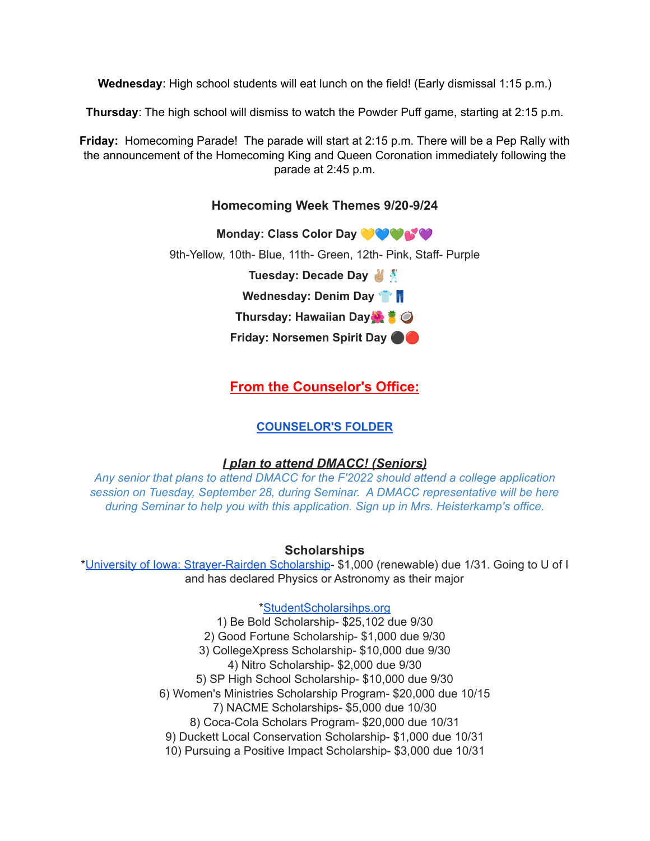**Wednesday**: High school students will eat lunch on the field! (Early dismissal 1:15 p.m.)

**Thursday**: The high school will dismiss to watch the Powder Puff game, starting at 2:15 p.m.

**Friday:** Homecoming Parade! The parade will start at 2:15 p.m. There will be a Pep Rally with the announcement of the Homecoming King and Queen Coronation immediately following the parade at 2:45 p.m.

## **Homecoming Week Themes 9/20-9/24**

**Monday: Class Color Day**

9th-Yellow, 10th- Blue, 11th- Green, 12th- Pink, Staff- Purple

**Tuesday: Decade Day**

**Wednesday: Denim Day**

**Thursday: Hawaiian Day**

**Friday: Norsemen Spirit Day** ⚫️

**From the Counselor's Office:**

# **[COUNSELOR'S](https://docs.google.com/document/d/1vmwczNPbDzXe9vFaG5LJMQ7NYDv-i4oQJHybqA65TUc/edit?usp=sharing) FOLDER**

#### *I plan to attend DMACC! (Seniors)*

*Any senior that plans to attend DMACC for the F'2022 should attend a college application session on Tuesday, September 28, during Seminar. A DMACC representative will be here during Seminar to help you with this application. Sign up in Mrs. Heisterkamp's office.*

#### **Scholarships**

\*University of Iowa: [Strayer-Rairden](https://drive.google.com/file/d/19dd2KrYVSWYKX2eleClYPvARc5_M10rR/view?usp=sharing) Scholarship- \$1,000 (renewable) due 1/31. Going to U of I and has declared Physics or Astronomy as their major

[\\*StudentScholarsihps.org](https://drive.google.com/file/d/15_QGMs4o4nf-uHxHY58Ue31_w-7Qw42k/view?usp=sharing)

1) Be Bold Scholarship- \$25,102 due 9/30 2) Good Fortune Scholarship- \$1,000 due 9/30 3) CollegeXpress Scholarship- \$10,000 due 9/30 4) Nitro Scholarship- \$2,000 due 9/30 5) SP High School Scholarship- \$10,000 due 9/30 6) Women's Ministries Scholarship Program- \$20,000 due 10/15 7) NACME Scholarships- \$5,000 due 10/30 8) Coca-Cola Scholars Program- \$20,000 due 10/31 9) Duckett Local Conservation Scholarship- \$1,000 due 10/31 10) Pursuing a Positive Impact Scholarship- \$3,000 due 10/31